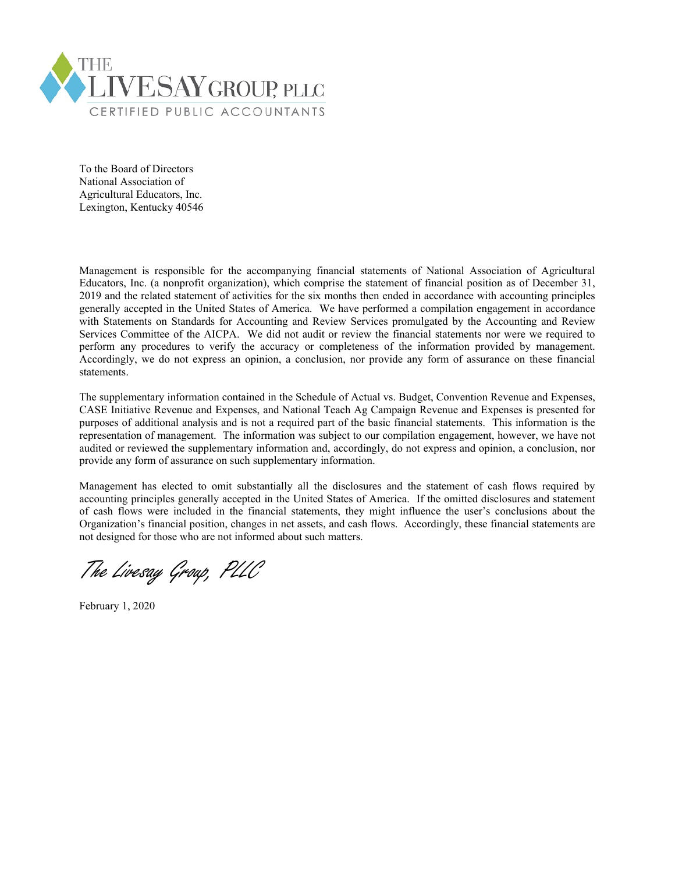

To the Board of Directors National Association of Agricultural Educators, Inc. Lexington, Kentucky 40546

Management is responsible for the accompanying financial statements of National Association of Agricultural Educators, Inc. (a nonprofit organization), which comprise the statement of financial position as of December 31, 2019 and the related statement of activities for the six months then ended in accordance with accounting principles generally accepted in the United States of America. We have performed a compilation engagement in accordance with Statements on Standards for Accounting and Review Services promulgated by the Accounting and Review Services Committee of the AICPA. We did not audit or review the financial statements nor were we required to perform any procedures to verify the accuracy or completeness of the information provided by management. Accordingly, we do not express an opinion, a conclusion, nor provide any form of assurance on these financial statements.

The supplementary information contained in the Schedule of Actual vs. Budget, Convention Revenue and Expenses, CASE Initiative Revenue and Expenses, and National Teach Ag Campaign Revenue and Expenses is presented for purposes of additional analysis and is not a required part of the basic financial statements. This information is the representation of management. The information was subject to our compilation engagement, however, we have not audited or reviewed the supplementary information and, accordingly, do not express and opinion, a conclusion, nor provide any form of assurance on such supplementary information.

Management has elected to omit substantially all the disclosures and the statement of cash flows required by accounting principles generally accepted in the United States of America. If the omitted disclosures and statement of cash flows were included in the financial statements, they might influence the user's conclusions about the Organization's financial position, changes in net assets, and cash flows. Accordingly, these financial statements are not designed for those who are not informed about such matters.

The Livesay Group, PLLC

February 1, 2020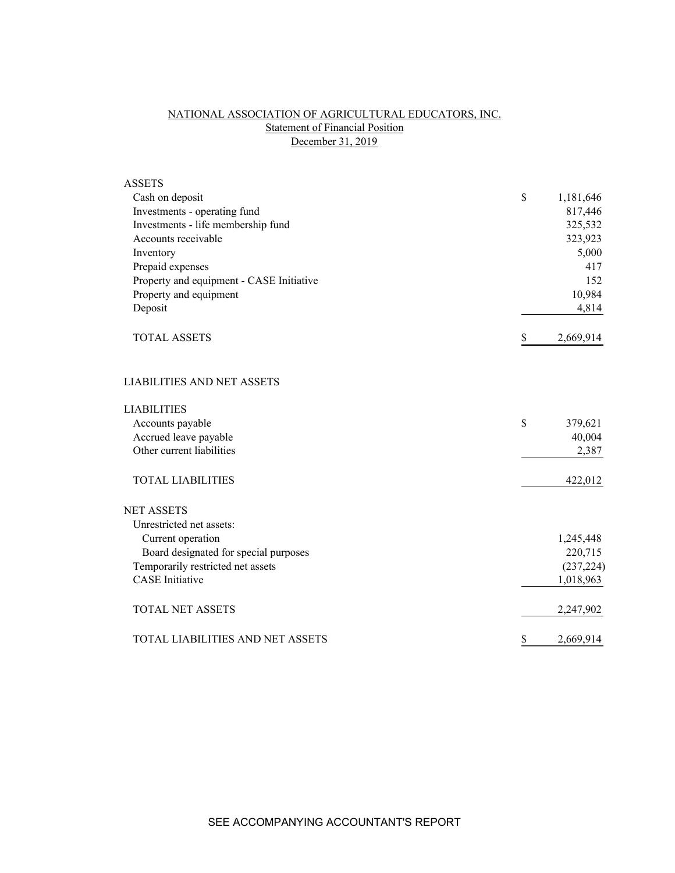# NATIONAL ASSOCIATION OF AGRICULTURAL EDUCATORS, INC. **Statement of Financial Position** December 31, 2019

| <b>ASSETS</b>                            |                 |
|------------------------------------------|-----------------|
| Cash on deposit                          | \$<br>1,181,646 |
| Investments - operating fund             | 817,446         |
| Investments - life membership fund       | 325,532         |
| Accounts receivable                      | 323,923         |
| Inventory                                | 5,000           |
| Prepaid expenses                         | 417             |
| Property and equipment - CASE Initiative | 152             |
| Property and equipment                   | 10,984          |
| Deposit                                  | 4,814           |
| <b>TOTAL ASSETS</b>                      | \$<br>2,669,914 |
| <b>LIABILITIES AND NET ASSETS</b>        |                 |
| <b>LIABILITIES</b>                       |                 |
| Accounts payable                         | \$<br>379,621   |
| Accrued leave payable                    | 40,004          |
| Other current liabilities                | 2,387           |
| <b>TOTAL LIABILITIES</b>                 | 422,012         |
| <b>NET ASSETS</b>                        |                 |
| Unrestricted net assets:                 |                 |
| Current operation                        | 1,245,448       |
| Board designated for special purposes    | 220,715         |
| Temporarily restricted net assets        | (237, 224)      |
| <b>CASE</b> Initiative                   | 1,018,963       |
| <b>TOTAL NET ASSETS</b>                  | 2,247,902       |
| TOTAL LIABILITIES AND NET ASSETS         | \$<br>2,669,914 |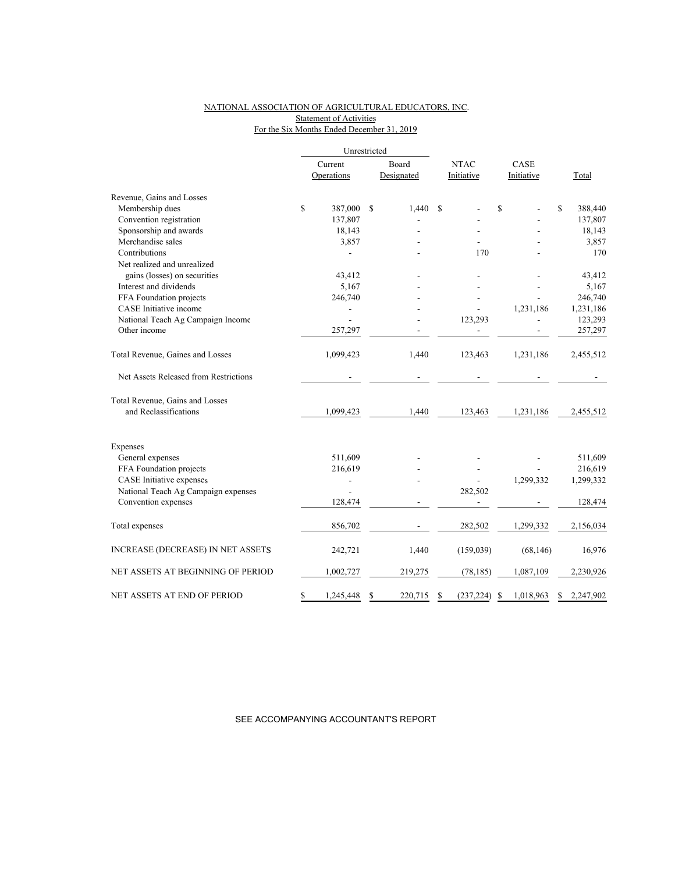## NATIONAL ASSOCIATION OF AGRICULTURAL EDUCATORS, INC. Statement of Activities

# For the Six Months Ended December 31, 2019

|                                          |         | Unrestricted   |    |            |             |                 |    |            |                 |
|------------------------------------------|---------|----------------|----|------------|-------------|-----------------|----|------------|-----------------|
|                                          | Current |                |    | Board      | <b>NTAC</b> |                 |    | CASE       |                 |
|                                          |         | Operations     |    | Designated |             | Initiative      |    | Initiative | Total           |
| Revenue, Gains and Losses                |         |                |    |            |             |                 |    |            |                 |
| Membership dues                          | \$      | 387,000        | \$ | 1,440      | S           |                 | \$ |            | \$<br>388,440   |
| Convention registration                  |         | 137,807        |    |            |             |                 |    |            | 137,807         |
| Sponsorship and awards                   |         | 18,143         |    |            |             |                 |    |            | 18,143          |
| Merchandise sales                        |         | 3,857          |    |            |             |                 |    |            | 3,857           |
| Contributions                            |         |                |    |            |             | 170             |    |            | 170             |
| Net realized and unrealized              |         |                |    |            |             |                 |    |            |                 |
| gains (losses) on securities             |         | 43,412         |    |            |             |                 |    |            | 43,412          |
| Interest and dividends                   |         | 5,167          |    |            |             |                 |    |            | 5,167           |
| FFA Foundation projects                  |         | 246,740        |    |            |             |                 |    |            | 246,740         |
| CASE Initiative income                   |         |                |    |            |             |                 |    | 1,231,186  | 1,231,186       |
| National Teach Ag Campaign Income        |         | $\overline{a}$ |    |            |             | 123,293         |    |            | 123,293         |
| Other income                             |         | 257,297        |    |            |             |                 |    |            | 257,297         |
| Total Revenue, Gaines and Losses         |         | 1,099,423      |    | 1,440      |             | 123,463         |    | 1,231,186  | 2,455,512       |
| Net Assets Released from Restrictions    |         |                |    |            |             |                 |    |            |                 |
| Total Revenue, Gains and Losses          |         |                |    |            |             |                 |    |            |                 |
| and Reclassifications                    |         | 1,099,423      |    | 1,440      |             | 123,463         |    | 1,231,186  | 2,455,512       |
| Expenses                                 |         |                |    |            |             |                 |    |            |                 |
| General expenses                         |         | 511,609        |    |            |             |                 |    |            | 511,609         |
| FFA Foundation projects                  |         | 216,619        |    |            |             |                 |    |            | 216,619         |
| <b>CASE</b> Initiative expenses          |         |                |    |            |             |                 |    | 1,299,332  | 1,299,332       |
| National Teach Ag Campaign expenses      |         |                |    |            |             | 282,502         |    |            |                 |
| Convention expenses                      |         | 128,474        |    |            |             |                 |    |            | 128,474         |
| Total expenses                           |         | 856,702        |    |            |             | 282,502         |    | 1,299,332  | 2,156,034       |
| <b>INCREASE (DECREASE) IN NET ASSETS</b> |         | 242,721        |    | 1,440      |             | (159,039)       |    | (68, 146)  | 16,976          |
| NET ASSETS AT BEGINNING OF PERIOD        |         | 1,002,727      |    | 219,275    |             | (78, 185)       |    | 1,087,109  | 2,230,926       |
| NET ASSETS AT END OF PERIOD              | \$      | 1,245,448      | \$ | 220,715    | \$          | $(237, 224)$ \$ |    | 1,018,963  | \$<br>2,247,902 |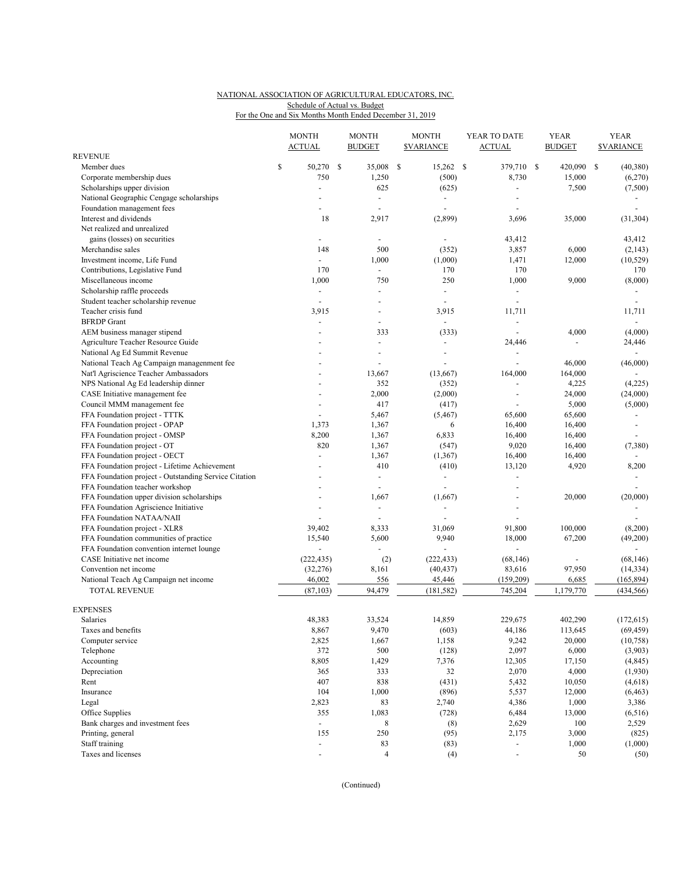## NATIONAL ASSOCIATION OF AGRICULTURAL EDUCATORS, INC. For the One and Six Months Month Ended December 31, 2019 Schedule of Actual vs. Budget

|                                                       |    | <b>MONTH</b><br><b>ACTUAL</b> |  | <b>MONTH</b><br><b>BUDGET</b> | <b>MONTH</b><br><b><i>SVARIANCE</i></b> |                          | YEAR TO DATE<br><b>ACTUAL</b> |                          |  | <b>YEAR</b><br><b>BUDGET</b> | <b>YEAR</b><br><b><i>SVARIANCE</i></b> |                          |
|-------------------------------------------------------|----|-------------------------------|--|-------------------------------|-----------------------------------------|--------------------------|-------------------------------|--------------------------|--|------------------------------|----------------------------------------|--------------------------|
| REVENUE                                               |    |                               |  |                               |                                         |                          |                               |                          |  |                              |                                        |                          |
| Member dues                                           | \$ | 50,270 \$                     |  | 35,008                        | -S                                      | 15,262 \$                |                               | 379,710 \$               |  | 420,090                      | -S                                     | (40, 380)                |
| Corporate membership dues                             |    | 750                           |  | 1,250                         |                                         | (500)                    |                               | 8,730                    |  | 15,000                       |                                        | (6,270)                  |
| Scholarships upper division                           |    | $\bar{\phantom{a}}$           |  | 625                           |                                         | (625)                    |                               | ÷,                       |  | 7,500                        |                                        | (7,500)                  |
| National Geographic Cengage scholarships              |    |                               |  | $\blacksquare$                |                                         | $\overline{\phantom{a}}$ |                               |                          |  |                              |                                        |                          |
| Foundation management fees                            |    |                               |  |                               |                                         | $\overline{\phantom{a}}$ |                               |                          |  |                              |                                        |                          |
| Interest and dividends                                |    | 18                            |  | 2,917                         |                                         | (2,899)                  |                               | 3,696                    |  | 35,000                       |                                        | (31, 304)                |
| Net realized and unrealized                           |    |                               |  |                               |                                         |                          |                               |                          |  |                              |                                        |                          |
| gains (losses) on securities                          |    | ÷,                            |  | $\blacksquare$                |                                         | $\blacksquare$           |                               | 43,412                   |  |                              |                                        | 43,412                   |
| Merchandise sales                                     |    | 148                           |  | 500                           |                                         | (352)                    |                               | 3,857                    |  | 6,000                        |                                        | (2, 143)                 |
| Investment income, Life Fund                          |    | $\blacksquare$                |  | 1,000                         |                                         | (1,000)                  |                               | 1,471                    |  | 12,000                       |                                        | (10, 529)                |
| Contributions, Legislative Fund                       |    | 170                           |  | $\sim$                        |                                         | 170                      |                               | 170                      |  |                              |                                        | 170                      |
| Miscellaneous income                                  |    | 1,000                         |  | 750                           |                                         | 250                      |                               | 1,000                    |  | 9,000                        |                                        | (8,000)                  |
| Scholarship raffle proceeds                           |    | $\blacksquare$                |  | $\blacksquare$                |                                         | $\overline{\phantom{a}}$ |                               | $\blacksquare$           |  |                              |                                        | ÷,                       |
| Student teacher scholarship revenue                   |    | $\overline{a}$                |  |                               |                                         | $\overline{a}$           |                               | $\overline{a}$           |  |                              |                                        |                          |
| Teacher crisis fund                                   |    | 3,915                         |  |                               |                                         | 3,915                    |                               | 11,711                   |  |                              |                                        | 11,711                   |
| <b>BFRDP</b> Grant                                    |    | ÷,                            |  |                               |                                         | $\blacksquare$           |                               | $\overline{\phantom{a}}$ |  |                              |                                        | ÷,                       |
| AEM business manager stipend                          |    |                               |  | 333                           |                                         | (333)                    |                               |                          |  | 4,000                        |                                        | (4,000)                  |
|                                                       |    |                               |  | $\overline{a}$                |                                         | $\overline{\phantom{a}}$ |                               |                          |  | ٠                            |                                        |                          |
| Agriculture Teacher Resource Guide                    |    |                               |  |                               |                                         |                          |                               | 24,446                   |  |                              |                                        | 24,446                   |
| National Ag Ed Summit Revenue                         |    |                               |  |                               |                                         | $\overline{\phantom{a}}$ |                               | $\overline{a}$           |  |                              |                                        |                          |
| National Teach Ag Campaign managenment fee            |    |                               |  |                               |                                         |                          |                               | ÷,                       |  | 46,000                       |                                        | (46,000)                 |
| Nat'l Agriscience Teacher Ambassadors                 |    |                               |  | 13,667                        |                                         | (13,667)                 |                               | 164,000                  |  | 164,000                      |                                        |                          |
| NPS National Ag Ed leadership dinner                  |    |                               |  | 352                           |                                         | (352)                    |                               | $\overline{\phantom{a}}$ |  | 4,225                        |                                        | (4,225)                  |
| CASE Initiative management fee                        |    |                               |  | 2,000                         |                                         | (2,000)                  |                               | ÷,                       |  | 24,000                       |                                        | (24,000)                 |
| Council MMM management fee                            |    |                               |  | 417                           |                                         | (417)                    |                               |                          |  | 5,000                        |                                        | (5,000)                  |
| FFA Foundation project - TTTK                         |    |                               |  | 5,467                         |                                         | (5, 467)                 |                               | 65,600                   |  | 65,600                       |                                        |                          |
| FFA Foundation project - OPAP                         |    | 1,373                         |  | 1,367                         |                                         | 6                        |                               | 16,400                   |  | 16,400                       |                                        | $\overline{\phantom{a}}$ |
| FFA Foundation project - OMSP                         |    | 8,200                         |  | 1,367                         |                                         | 6,833                    |                               | 16,400                   |  | 16,400                       |                                        | $\blacksquare$           |
| FFA Foundation project - OT                           |    | 820                           |  | 1,367                         |                                         | (547)                    |                               | 9,020                    |  | 16,400                       |                                        | (7,380)                  |
| FFA Foundation project - OECT                         |    |                               |  | 1,367                         |                                         | (1, 367)                 |                               | 16,400                   |  | 16,400                       |                                        |                          |
| FFA Foundation project - Lifetime Achievement         |    |                               |  | 410                           |                                         | (410)                    |                               | 13,120                   |  | 4,920                        |                                        | 8,200                    |
| FFA Foundation project - Outstanding Service Citation |    |                               |  | $\blacksquare$                |                                         | $\overline{\phantom{a}}$ |                               | $\overline{\phantom{a}}$ |  |                              |                                        | $\sim$                   |
| FFA Foundation teacher workshop                       |    |                               |  | $\overline{a}$                |                                         | $\overline{a}$           |                               | ÷,                       |  |                              |                                        |                          |
| FFA Foundation upper division scholarships            |    |                               |  | 1,667                         |                                         | (1,667)                  |                               | ÷,                       |  | 20,000                       |                                        | (20,000)                 |
| FFA Foundation Agriscience Initiative                 |    |                               |  | $\blacksquare$                |                                         | $\overline{a}$           |                               | ÷                        |  |                              |                                        |                          |
| FFA Foundation NATAA/NAII                             |    | $\overline{\phantom{a}}$      |  | $\overline{\phantom{a}}$      |                                         |                          |                               | $\blacksquare$           |  |                              |                                        |                          |
| FFA Foundation project - XLR8                         |    | 39,402                        |  | 8,333                         |                                         | 31,069                   |                               | 91,800                   |  | 100,000                      |                                        | (8,200)                  |
| FFA Foundation communities of practice                |    | 15,540                        |  | 5,600                         |                                         | 9,940                    |                               | 18,000                   |  | 67,200                       |                                        | (49,200)                 |
| FFA Foundation convention internet lounge             |    |                               |  |                               |                                         |                          |                               |                          |  |                              |                                        |                          |
| CASE Initiative net income                            |    | (222, 435)                    |  | (2)                           |                                         | (222, 433)               |                               | (68, 146)                |  | $\overline{\phantom{a}}$     |                                        | (68, 146)                |
| Convention net income                                 |    | (32, 276)                     |  | 8,161                         |                                         | (40, 437)                |                               | 83,616                   |  | 97,950                       |                                        | (14, 334)                |
| National Teach Ag Campaign net income                 |    | 46,002                        |  | 556                           |                                         | 45,446                   |                               | (159,209)                |  | 6,685                        |                                        | (165, 894)               |
| <b>TOTAL REVENUE</b>                                  |    | (87, 103)                     |  | 94,479                        |                                         | (181, 582)               |                               | 745,204                  |  | 1,179,770                    |                                        | (434, 566)               |
|                                                       |    |                               |  |                               |                                         |                          |                               |                          |  |                              |                                        |                          |
| <b>EXPENSES</b>                                       |    |                               |  |                               |                                         |                          |                               |                          |  |                              |                                        |                          |
| Salaries                                              |    | 48,383                        |  | 33,524                        |                                         | 14,859                   |                               | 229,675                  |  | 402,290                      |                                        | (172, 615)               |
| Taxes and benefits                                    |    | 8,867                         |  | 9,470                         |                                         | (603)                    |                               | 44,186                   |  | 113,645                      |                                        | (69, 459)                |
| Computer service                                      |    | 2,825                         |  | 1,667                         |                                         | 1,158                    |                               | 9,242                    |  | 20,000                       |                                        | (10, 758)                |
| Telephone                                             |    | 372                           |  | 500                           |                                         | (128)                    |                               | 2,097                    |  | 6,000                        |                                        | (3,903)                  |
| Accounting                                            |    | 8,805                         |  | 1,429                         |                                         | 7,376                    |                               | 12,305                   |  | 17,150                       |                                        | (4, 845)                 |
| Depreciation                                          |    | 365                           |  | 333                           |                                         | 32                       |                               | 2,070                    |  | 4,000                        |                                        | (1,930)                  |
| Rent                                                  |    | 407                           |  | 838                           |                                         | (431)                    |                               | 5,432                    |  | 10,050                       |                                        | (4,618)                  |
| Insurance                                             |    | 104                           |  | 1,000                         |                                         | (896)                    |                               | 5,537                    |  | 12,000                       |                                        | (6, 463)                 |
| Legal                                                 |    | 2,823                         |  | 83                            |                                         | 2,740                    |                               | 4,386                    |  | 1,000                        |                                        | 3,386                    |
| Office Supplies                                       |    | 355                           |  | 1,083                         |                                         | (728)                    |                               | 6,484                    |  | 13,000                       |                                        | (6,516)                  |
| Bank charges and investment fees                      |    | $\equiv$                      |  | 8                             |                                         | (8)                      |                               | 2,629                    |  | 100                          |                                        | 2,529                    |
| Printing, general                                     |    | 155                           |  | 250                           |                                         | (95)                     |                               | 2,175                    |  | 3,000                        |                                        | (825)                    |
| Staff training                                        |    | $\blacksquare$                |  | 83                            |                                         | (83)                     |                               | $\overline{\phantom{a}}$ |  | 1,000                        |                                        | (1,000)                  |
| Taxes and licenses                                    |    | $\overline{\phantom{a}}$      |  | $\overline{4}$                |                                         | (4)                      |                               | $\overline{\phantom{a}}$ |  | 50                           |                                        | (50)                     |

(Continued)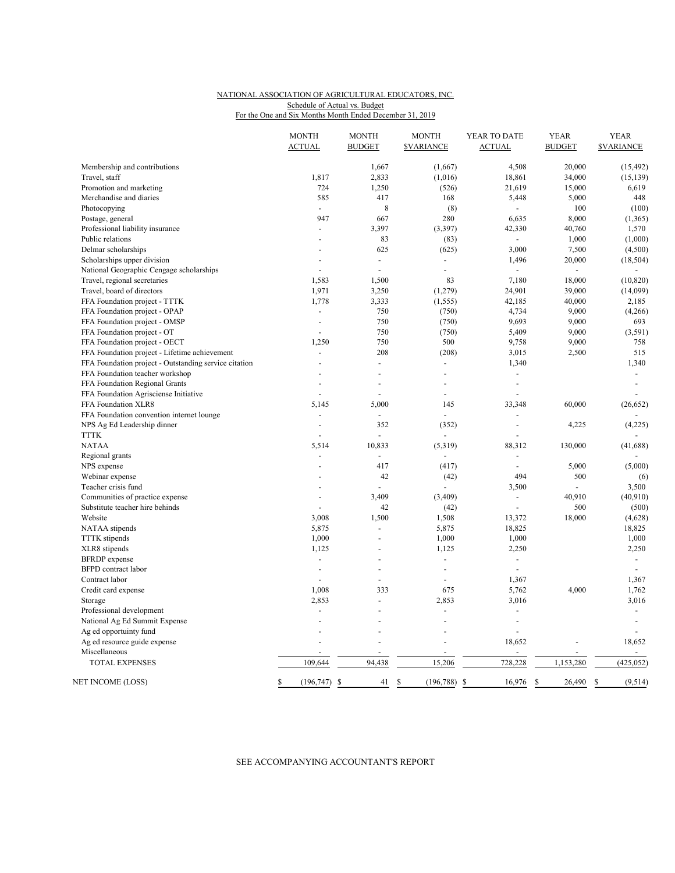## NATIONAL ASSOCIATION OF AGRICULTURAL EDUCATORS, INC. For the One and Six Months Month Ended December 31, 2019 Schedule of Actual vs. Budget

|  |  |  |  | TOI THE OILE AND SIX MONTHS MONTH ENGED DECEMBER 31, 201 |  |
|--|--|--|--|----------------------------------------------------------|--|
|  |  |  |  |                                                          |  |

|                                                       | <b>MONTH</b>             | <b>MONTH</b>   | <b>MONTH</b>            | YEAR TO DATE   | <b>YEAR</b>    | <b>YEAR</b>             |
|-------------------------------------------------------|--------------------------|----------------|-------------------------|----------------|----------------|-------------------------|
|                                                       | <b>ACTUAL</b>            | <b>BUDGET</b>  | <b><i>SVARIANCE</i></b> | <b>ACTUAL</b>  | <b>BUDGET</b>  | <b><i>SVARIANCE</i></b> |
| Membership and contributions                          |                          | 1,667          | (1,667)                 | 4,508          | 20,000         | (15, 492)               |
| Travel, staff                                         | 1,817                    | 2,833          | (1,016)                 | 18,861         | 34,000         | (15, 139)               |
| Promotion and marketing                               | 724                      | 1,250          | (526)                   | 21,619         | 15,000         | 6,619                   |
| Merchandise and diaries                               | 585                      | 417            | 168                     | 5,448          | 5,000          | 448                     |
| Photocopying                                          |                          | 8              | (8)                     |                | 100            | (100)                   |
| Postage, general                                      | 947                      | 667            | 280                     | 6,635          | 8,000          | (1,365)                 |
| Professional liability insurance                      |                          | 3,397          | (3, 397)                | 42,330         | 40,760         | 1,570                   |
| Public relations                                      |                          | 83             | (83)                    | $\blacksquare$ | 1,000          | (1,000)                 |
| Delmar scholarships                                   |                          | 625            | (625)                   | 3,000          | 7,500          | (4,500)                 |
| Scholarships upper division                           |                          | $\overline{a}$ |                         | 1,496          | 20,000         | (18, 504)               |
| National Geographic Cengage scholarships              |                          | $\overline{a}$ | $\overline{a}$          |                | $\blacksquare$ | $\overline{a}$          |
| Travel, regional secretaries                          | 1,583                    | 1,500          | 83                      | 7,180          | 18,000         | (10, 820)               |
| Travel, board of directors                            | 1,971                    | 3,250          | (1,279)                 | 24,901         | 39,000         | (14,099)                |
| FFA Foundation project - TTTK                         | 1,778                    | 3,333          | (1, 555)                | 42,185         | 40,000         | 2,185                   |
| FFA Foundation project - OPAP                         | $\overline{a}$           | 750            | (750)                   | 4,734          | 9,000          | (4,266)                 |
| FFA Foundation project - OMSP                         | $\overline{\phantom{a}}$ | 750            | (750)                   | 9,693          | 9,000          | 693                     |
| FFA Foundation project - OT                           |                          | 750            | (750)                   | 5,409          | 9,000          | (3, 591)                |
| FFA Foundation project - OECT                         | 1,250                    | 750            | 500                     | 9,758          | 9,000          | 758                     |
| FFA Foundation project - Lifetime achievement         | $\overline{a}$           | 208            | (208)                   | 3,015          | 2,500          | 515                     |
| FFA Foundation project - Outstanding service citation |                          | $\overline{a}$ |                         | 1,340          |                | 1,340                   |
| FFA Foundation teacher workshop                       |                          | ÷              |                         |                |                | $\mathcal{L}$           |
| FFA Foundation Regional Grants                        |                          |                |                         |                |                |                         |
| FFA Foundation Agrisciense Initiative                 |                          | $\overline{a}$ | $\overline{a}$          |                |                |                         |
| FFA Foundation XLR8                                   | 5,145                    | 5,000          | 145                     | 33,348         | 60,000         | (26, 652)               |
| FFA Foundation convention internet lounge             | $\overline{a}$           | $\overline{a}$ | $\overline{a}$          | $\overline{a}$ |                |                         |
| NPS Ag Ed Leadership dinner                           |                          | 352            | (352)                   | ÷,             | 4,225          | (4,225)                 |
| <b>TTTK</b>                                           |                          | $\overline{a}$ |                         |                |                |                         |
| <b>NATAA</b>                                          | 5,514                    | 10,833         | (5,319)                 | 88,312         | 130,000        | (41, 688)               |
| Regional grants                                       |                          |                |                         |                |                |                         |
| NPS expense                                           |                          | 417            | (417)                   |                | 5,000          | (5,000)                 |
| Webinar expense                                       |                          | 42             | (42)                    | 494            | 500            | (6)                     |
| Teacher crisis fund                                   |                          |                |                         | 3,500          |                | 3,500                   |
| Communities of practice expense                       |                          | 3,409          | (3,409)                 | $\sim$         | 40,910         | (40, 910)               |
| Substitute teacher hire behinds                       |                          | 42             | (42)                    | ÷.             | 500            | (500)                   |
| Website                                               | 3,008                    | 1,500          | 1,508                   | 13,372         | 18,000         | (4,628)                 |
| NATAA stipends                                        | 5,875                    | $\overline{a}$ | 5,875                   | 18,825         |                | 18,825                  |
| TTTK stipends                                         | 1,000                    | ÷,             | 1,000                   | 1,000          |                | 1,000                   |
| XLR8 stipends                                         | 1,125                    |                | 1,125                   | 2,250          |                | 2,250                   |
| <b>BFRDP</b> expense                                  | $\sim$                   | ÷,             | $\blacksquare$          | $\overline{a}$ |                | $\blacksquare$          |
| <b>BFPD</b> contract labor                            |                          |                | $\overline{a}$          |                |                |                         |
| Contract labor                                        |                          | ÷,             | $\overline{a}$          | 1,367          |                | 1,367                   |
| Credit card expense                                   | 1,008                    | 333            | 675                     | 5,762          | 4,000          | 1,762                   |
| Storage                                               | 2,853                    | $\overline{a}$ | 2,853                   | 3,016          |                | 3,016                   |
| Professional development                              |                          |                | ÷.                      |                |                | $\overline{a}$          |
| National Ag Ed Summit Expense                         | $\overline{a}$           |                | $\overline{a}$          | ÷,             |                | $\sim$                  |
| Ag ed opportuinty fund                                |                          |                |                         |                |                |                         |
| Ag ed resource guide expense                          |                          |                |                         | 18,652         |                | 18,652                  |
| Miscellaneous                                         |                          |                |                         |                |                | $\blacksquare$          |
| <b>TOTAL EXPENSES</b>                                 | 109,644                  | 94,438         | 15,206                  | 728,228        | 1,153,280      | (425, 052)              |
| NET INCOME (LOSS)                                     | (196, 747)<br>\$         | 41<br>-S       | \$<br>(196, 788)        | \$<br>16,976   | 26,490<br>S    | (9, 514)<br>-S          |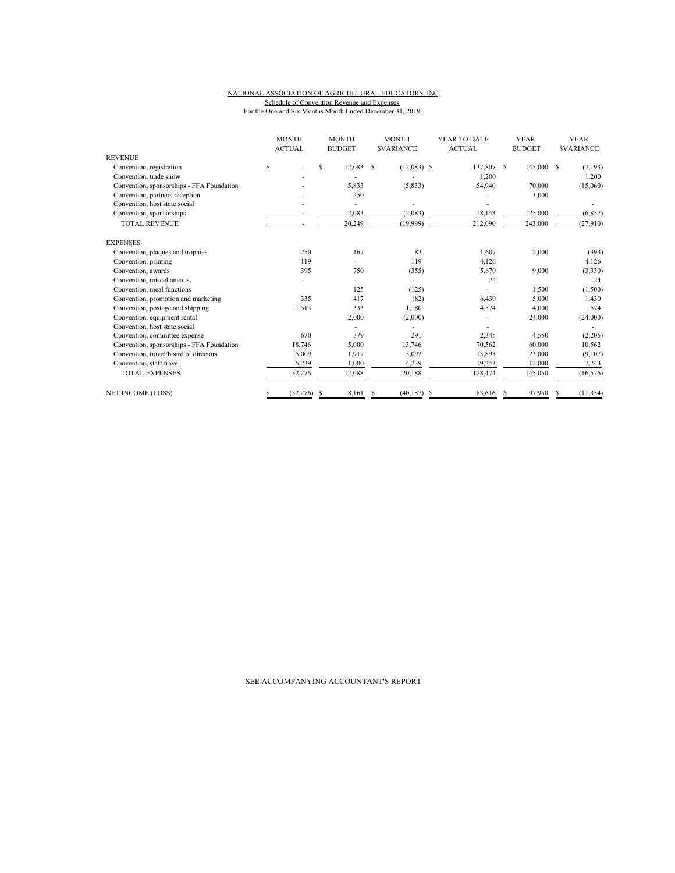## NATIONAL ASSOCIATION OF AGRICULTURAL EDUCATORS, INC. Schedule of Convention Revenue and Expenses For the One and Six Months Month Ended December 31, 2019

|                                           | <b>MONTH</b><br><b>ACTUAL</b> |  | <b>MONTH</b><br><b>BUDGET</b> |    | <b>MONTH</b><br><b>SVARIANCE</b> |   | YEAR TO DATE<br><b>ACTUAL</b> |    | <b>YEAR</b><br><b>BUDGET</b> |    | <b>YEAR</b><br><b><i>SVARIANCE</i></b> |
|-------------------------------------------|-------------------------------|--|-------------------------------|----|----------------------------------|---|-------------------------------|----|------------------------------|----|----------------------------------------|
| <b>REVENUE</b>                            |                               |  |                               |    |                                  |   |                               |    |                              |    |                                        |
| Convention, registration                  | \$                            |  | S.<br>12,083                  | S  | $(12,083)$ \$                    |   | 137,807                       | -S | 145,000                      | -S | (7, 193)                               |
| Convention, trade show                    |                               |  |                               |    |                                  |   | 1,200                         |    |                              |    | 1,200                                  |
| Convention, sponsorships - FFA Foundation |                               |  | 5,833                         |    | (5,833)                          |   | 54,940                        |    | 70,000                       |    | (15,060)                               |
| Convention, partners reception            |                               |  | 250                           |    |                                  |   |                               |    | 3,000                        |    |                                        |
| Convention, host state social             |                               |  |                               |    |                                  |   |                               |    |                              |    |                                        |
| Convention, sponsorships                  |                               |  | 2,083                         |    | (2,083)                          |   | 18,143                        |    | 25,000                       |    | (6, 857)                               |
| <b>TOTAL REVENUE</b>                      |                               |  | 20,249                        |    | (19,999)                         |   | 212,090                       |    | 243,000                      |    | (27,910)                               |
| <b>EXPENSES</b>                           |                               |  |                               |    |                                  |   |                               |    |                              |    |                                        |
| Convention, plaques and trophies          | 250                           |  | 167                           |    | 83                               |   | 1.607                         |    | 2,000                        |    | (393)                                  |
| Convention, printing                      | 119                           |  |                               |    | 119                              |   | 4,126                         |    |                              |    | 4,126                                  |
| Convention, awards                        | 395                           |  | 750                           |    | (355)                            |   | 5,670                         |    | 9,000                        |    | (3,330)                                |
| Convention, miscellaneous                 |                               |  |                               |    | ٠                                |   | 24                            |    |                              |    | 24                                     |
| Convention, meal functions                |                               |  | 125                           |    | (125)                            |   |                               |    | 1,500                        |    | (1,500)                                |
| Convention, promotion and marketing       | 335                           |  | 417                           |    | (82)                             |   | 6.430                         |    | 5.000                        |    | 1,430                                  |
| Convention, postage and shipping          | 1,513                         |  | 333                           |    | 1,180                            |   | 4,574                         |    | 4,000                        |    | 574                                    |
| Convention, equipment rental              |                               |  | 2,000                         |    | (2,000)                          |   |                               |    | 24,000                       |    | (24,000)                               |
| Convention, host state social             |                               |  |                               |    |                                  |   |                               |    |                              |    |                                        |
| Convention, committee expense             | 670                           |  | 379                           |    | 291                              |   | 2,345                         |    | 4,550                        |    | (2,205)                                |
| Convention, sponsorships - FFA Foundation | 18,746                        |  | 5,000                         |    | 13,746                           |   | 70,562                        |    | 60,000                       |    | 10,562                                 |
| Convention, travel/board of directors     | 5,009                         |  | 1,917                         |    | 3,092                            |   | 13,893                        |    | 23,000                       |    | (9,107)                                |
| Convention, staff travel                  | 5,239                         |  | 1,000                         |    | 4,239                            |   | 19,243                        |    | 12,000                       |    | 7,243                                  |
| <b>TOTAL EXPENSES</b>                     | 32,276                        |  | 12,088                        |    | 20,188                           |   | 128,474                       |    | 145,050                      |    | (16, 576)                              |
| <b>NET INCOME (LOSS)</b>                  | (32, 276)<br>S                |  | 8.161<br>£.                   | -S | (40, 187)                        | S | 83,616                        | S  | 97,950                       |    | (11, 334)                              |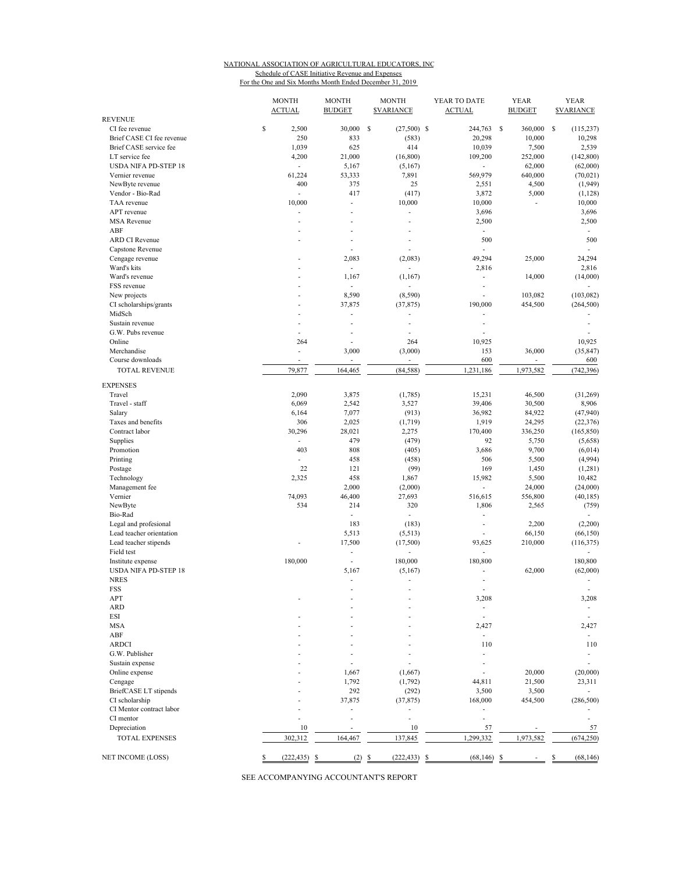### NATIONAL ASSOCIATION OF AGRICULTURAL EDUCATORS, INC Schedule of CASE Initiative Revenue and Expenses For the One and Six Months Month Ended December 31, 2019

| <b>REVENUE</b>              | <b>MONTH</b><br><b>ACTUAL</b> | <b>MONTH</b><br><b>BUDGET</b> | <b>MONTH</b><br><b><i>SVARIANCE</i></b> | YEAR TO DATE<br><b>ACTUAL</b> | <b>YEAR</b><br><b>BUDGET</b> | <b>YEAR</b><br><b><i>SVARIANCE</i></b> |
|-----------------------------|-------------------------------|-------------------------------|-----------------------------------------|-------------------------------|------------------------------|----------------------------------------|
| CI fee revenue              | \$<br>2,500                   | 30,000                        | \$<br>$(27,500)$ \$                     | 244,763                       | -S<br>360,000                | \$<br>(115, 237)                       |
| Brief CASE CI fee revenue   | 250                           | 833                           | (583)                                   | 20,298                        | 10,000                       | 10,298                                 |
| Brief CASE service fee      | 1,039                         | 625                           | 414                                     | 10,039                        | 7,500                        | 2,539                                  |
| LT service fee              | 4,200                         | 21,000                        | (16, 800)                               | 109,200                       | 252,000                      | (142, 800)                             |
| <b>USDA NIFA PD-STEP 18</b> | ×.                            | 5,167                         | (5,167)                                 | $\overline{\phantom{a}}$      | 62,000                       | (62,000)                               |
| Vernier revenue             | 61,224                        | 53,333                        | 7,891                                   | 569,979                       | 640,000                      | (70, 021)                              |
| NewByte revenue             | 400                           | 375                           | 25                                      | 2,551                         | 4,500                        | (1,949)                                |
| Vendor - Bio-Rad            | ÷                             | 417                           | (417)                                   | 3,872                         | 5,000                        | (1,128)                                |
| TAA revenue                 | 10,000                        | ÷,                            | 10,000                                  | 10,000                        | ÷,                           | 10,000                                 |
| APT revenue                 |                               | Ĭ.                            | ä,                                      | 3,696                         |                              | 3,696                                  |
| <b>MSA</b> Revenue          | ٠                             | ٠                             | ٠                                       | 2,500                         |                              | 2,500                                  |
| ABF                         |                               |                               |                                         |                               |                              |                                        |
| <b>ARD CI Revenue</b>       | ÷.                            | ä,<br>$\overline{a}$          | ÷.                                      | ÷,<br>500                     |                              | $\overline{\phantom{a}}$<br>500        |
| Capstone Revenue            |                               | ÷.                            |                                         |                               |                              |                                        |
|                             |                               |                               |                                         |                               |                              |                                        |
| Cengage revenue             |                               | 2,083                         | (2,083)                                 | 49,294                        | 25,000                       | 24,294                                 |
| Ward's kits                 | ٠                             | $\blacksquare$                |                                         | 2,816                         |                              | 2,816                                  |
| Ward's revenue              |                               | 1,167                         | (1,167)                                 | ä,                            | 14,000                       | (14,000)                               |
| FSS revenue                 |                               | $\overline{\phantom{a}}$      |                                         | ÷,                            |                              |                                        |
| New projects                |                               | 8,590                         | (8,590)                                 | ÷,                            | 103,082                      | (103, 082)                             |
| CI scholarships/grants      |                               | 37,875                        | (37, 875)                               | 190,000                       | 454,500                      | (264, 500)                             |
| MidSch                      | ٠                             | ä,                            | ٠                                       |                               |                              |                                        |
| Sustain revenue             | ä,                            | ä,                            | L,                                      | ä,                            |                              | ä,                                     |
| G.W. Pubs revenue           | ä,                            | ÷,                            | ä,                                      | ä,                            |                              |                                        |
| Online                      | 264                           | J.                            | 264                                     | 10,925                        |                              | 10,925                                 |
| Merchandise                 | ÷,                            | 3,000                         | (3,000)                                 | 153                           | 36,000                       | (35, 847)                              |
| Course downloads            | ٠                             | $\mathcal{L}_{\mathcal{A}}$   | ÷.                                      | 600                           | $\overline{\phantom{a}}$     | 600                                    |
| <b>TOTAL REVENUE</b>        | 79,877                        | 164,465                       | (84, 588)                               | 1,231,186                     | 1,973,582                    | (742, 396)                             |
|                             |                               |                               |                                         |                               |                              |                                        |
| <b>EXPENSES</b>             |                               |                               |                                         |                               |                              |                                        |
| Travel                      | 2,090                         | 3,875                         | (1,785)                                 | 15,231                        | 46,500                       | (31,269)                               |
| Travel - staff              | 6,069                         | 2,542                         | 3,527                                   | 39,406                        | 30,500                       | 8,906                                  |
| Salary                      | 6,164                         | 7,077                         | (913)                                   | 36,982                        | 84,922                       | (47,940)                               |
| Taxes and benefits          | 306                           | 2,025                         | (1,719)                                 | 1,919                         | 24,295                       | (22, 376)                              |
| Contract labor              | 30,296                        | 28,021                        | 2,275                                   | 170,400                       | 336,250                      | (165, 850)                             |
| Supplies                    | ÷.                            | 479                           | (479)                                   | 92                            | 5,750                        | (5,658)                                |
| Promotion                   | 403                           | 808                           | (405)                                   | 3,686                         | 9,700                        | (6,014)                                |
| Printing                    |                               | 458                           | (458)                                   | 506                           | 5,500                        | (4,994)                                |
| Postage                     | 22                            | 121                           | (99)                                    | 169                           | 1,450                        | (1,281)                                |
| Technology                  | 2,325                         | 458                           | 1,867                                   | 15,982                        | 5,500                        | 10,482                                 |
| Management fee              |                               | 2,000                         | (2,000)                                 | ÷,                            | 24,000                       | (24,000)                               |
| Vernier                     | 74,093                        | 46,400                        | 27,693                                  | 516,615                       | 556,800                      | (40, 185)                              |
| NewByte                     | 534                           | 214                           | 320                                     | 1,806                         | 2,565                        | (759)                                  |
| Bio-Rad                     |                               | ÷,                            | ä,                                      | ä,                            |                              |                                        |
| Legal and profesional       |                               | 183                           | (183)                                   | ÷,                            | 2,200                        | (2,200)                                |
| Lead teacher orientation    |                               | 5,513                         | (5,513)                                 |                               | 66,150                       | (66, 150)                              |
| Lead teacher stipends       |                               | 17,500                        | (17,500)                                | 93,625                        | 210,000                      | (116, 375)                             |
| Field test                  |                               | $\overline{a}$                |                                         |                               |                              |                                        |
| Institute expense           | 180,000                       | $\overline{\phantom{a}}$      | 180,000                                 | 180,800                       |                              | 180,800                                |
| <b>USDA NIFA PD-STEP 18</b> |                               | 5,167                         | (5,167)                                 |                               | 62,000                       | (62,000)                               |
| <b>NRES</b>                 |                               | ÷,                            | $\overline{\phantom{a}}$                | ÷,                            |                              | $\overline{\phantom{a}}$               |
| FSS                         |                               |                               |                                         |                               |                              |                                        |
| APT                         |                               |                               |                                         | 3,208                         |                              | 3,208                                  |
| ARD                         |                               |                               |                                         | ÷,                            |                              |                                        |
| ESI                         |                               |                               |                                         |                               |                              |                                        |
|                             |                               |                               |                                         |                               |                              |                                        |
| MSA                         |                               |                               |                                         | 2,427                         |                              | 2,427                                  |
| ABF                         |                               |                               |                                         | ä,                            |                              | $\overline{\phantom{a}}$               |
| <b>ARDCI</b>                |                               |                               |                                         | 110                           |                              | 110                                    |
| G.W. Publisher              |                               |                               |                                         | ä,                            |                              | $\overline{\phantom{a}}$               |
| Sustain expense             |                               |                               |                                         | ٠                             |                              | ä,                                     |
| Online expense              |                               | 1,667                         | (1,667)                                 |                               | 20,000                       | (20,000)                               |
| Cengage                     |                               | 1,792                         | (1,792)                                 | 44,811                        | 21,500                       | 23,311                                 |
| BriefCASE LT stipends       |                               | 292                           | (292)                                   | 3,500                         | 3,500                        |                                        |
| CI scholarship              |                               | 37,875                        | (37, 875)                               | 168,000                       | 454,500                      | (286, 500)                             |
| CI Mentor contract labor    |                               |                               |                                         | ÷,                            |                              |                                        |
| CI mentor                   |                               |                               | L,                                      | ä,                            |                              |                                        |
| Depreciation                | 10                            | ÷,                            | 10                                      | 57                            |                              | 57                                     |
| <b>TOTAL EXPENSES</b>       | 302,312                       | 164,467                       | 137,845                                 | 1,299,332                     | 1,973,582                    | (674, 250)                             |
|                             |                               |                               |                                         |                               |                              |                                        |
| NET INCOME (LOSS)           | (222, 435)<br>S               | (2)<br>S                      | (222, 433)<br>\$                        | (68, 146)<br>S                | \$                           | (68, 146)<br>\$                        |